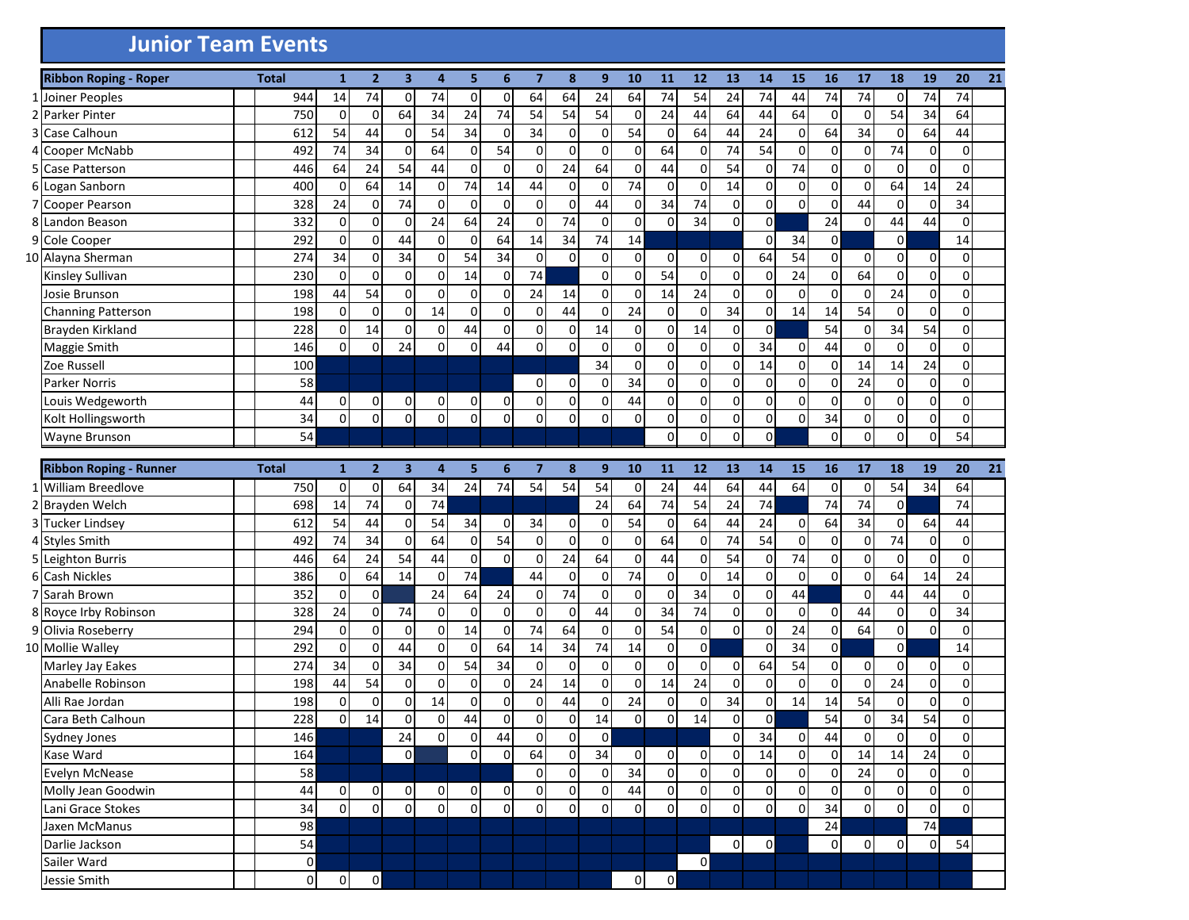## **Junior Team Events**

|   | <b>Ribbon Roping - Roper</b>  | <b>Total</b>   | $\mathbf{1}$   | $\overline{2}$ | $\overline{\mathbf{3}}$ | 4           | 5                   | 6           | $\overline{7}$ | 8              | 9              | 10          | 11             | 12             | 13             | 14             | 15             | 16             | 17             | 18             | 19             | 20             | 21 |
|---|-------------------------------|----------------|----------------|----------------|-------------------------|-------------|---------------------|-------------|----------------|----------------|----------------|-------------|----------------|----------------|----------------|----------------|----------------|----------------|----------------|----------------|----------------|----------------|----|
| 1 | Joiner Peoples                | 944            | 14             | 74             | 0                       | 74          | 0                   | 0           | 64             | 64             | 24             | 64          | 74             | 54             | 24             | 74             | 44             | 74             | 74             | $\Omega$       | 74             | 74             |    |
| 2 | <b>Parker Pinter</b>          | 750            | 0              | $\mathbf 0$    | 64                      | 34          | 24                  | 74          | 54             | 54             | 54             | $\mathbf 0$ | 24             | 44             | 64             | 44             | 64             | 0              | $\mathbf 0$    | 54             | 34             | 64             |    |
| 3 | Case Calhoun                  | 612            | 54             | 44             | 0                       | 54          | 34                  | 0           | 34             | 0              | $\mathbf 0$    | 54          | 0              | 64             | 44             | 24             | $\mathbf 0$    | 64             | 34             | $\Omega$       | 64             | 44             |    |
| 4 | Cooper McNabb                 | 492            | 74             | 34             | $\mathbf 0$             | 64          | 0                   | 54          | $\mathbf 0$    | 0              | $\mathbf 0$    | $\Omega$    | 64             | 0              | 74             | 54             | $\mathbf 0$    | 0              | $\mathbf 0$    | 74             | $\overline{0}$ | $\Omega$       |    |
| 5 | Case Patterson                | 446            | 64             | 24             | 54                      | 44          | $\pmb{0}$           | $\mathbf 0$ | $\overline{0}$ | 24             | 64             | 0           | 44             | 0              | 54             | 0              | 74             | 0              | $\mathbf 0$    | $\Omega$       | $\overline{0}$ | $\Omega$       |    |
| 6 | Logan Sanborn                 | 400            | 0              | 64             | 14                      | $\mathbf 0$ | 74                  | 14          | 44             | $\Omega$       | 0              | 74          | 0              | $\Omega$       | 14             | 0              | 0              | 0              | $\overline{0}$ | 64             | 14             | 24             |    |
|   | <b>Cooper Pearson</b>         | 328            | 24             | $\mathbf 0$    | 74                      | $\mathbf 0$ | $\mathbf 0$         | $\mathbf 0$ | $\mathbf 0$    | 0              | 44             | $\Omega$    | 34             | 74             | $\mathbf 0$    | 0              | $\mathbf 0$    | 0              | 44             | $\Omega$       | $\mathbf 0$    | 34             |    |
| 8 | Landon Beason                 | 332            | 0              | $\mathbf 0$    | $\mathbf 0$             | 24          | 64                  | 24          | $\mathbf 0$    | 74             | $\mathbf 0$    | $\mathbf 0$ | $\mathbf 0$    | 34             | $\mathbf 0$    | $\overline{0}$ |                | 24             | $\mathbf 0$    | 44             | 44             | $\Omega$       |    |
|   | 9 Cole Cooper                 | 292            | $\mathbf 0$    | $\mathbf 0$    | 44                      | $\mathbf 0$ | $\mathbf 0$         | 64          | 14             | 34             | 74             | 14          |                |                |                | $\mathbf 0$    | 34             | $\overline{0}$ |                | $\Omega$       |                | 14             |    |
|   | 10 Alayna Sherman             | 274            | 34             | 0              | 34                      | $\mathbf 0$ | 54                  | 34          | $\mathbf 0$    | $\Omega$       | $\mathbf 0$    | $\Omega$    | $\overline{0}$ | $\Omega$       | 0              | 64             | 54             | $\Omega$       | $\overline{0}$ | $\Omega$       | $\Omega$       | $\Omega$       |    |
|   | Kinsley Sullivan              | 230            | 0              | $\mathbf 0$    | $\mathbf 0$             | $\mathbf 0$ | 14                  | $\mathbf 0$ | 74             |                | 0              | $\Omega$    | 54             | $\Omega$       | $\mathbf 0$    | 0              | 24             | 0              | 64             | $\Omega$       | $\Omega$       | $\Omega$       |    |
|   | Josie Brunson                 | 198            | 44             | 54             | $\mathbf 0$             | $\mathbf 0$ | 0                   | $\mathbf 0$ | 24             | 14             | $\mathbf 0$    | $\Omega$    | 14             | 24             | 0              | $\Omega$       | 0              | 0              | $\overline{0}$ | 24             | $\Omega$       | $\Omega$       |    |
|   | Channing Patterson            | 198            | 0              | $\mathbf 0$    | $\mathbf 0$             | 14          | 0                   | $\mathbf 0$ | $\mathbf 0$    | 44             | 0              | 24          | 0              | $\Omega$       | 34             | 0              | 14             | 14             | 54             | $\Omega$       | $\Omega$       | $\Omega$       |    |
|   | Brayden Kirkland              | 228            | 0              | 14             | $\mathbf 0$             | $\mathbf 0$ | 44                  | $\mathbf 0$ | $\mathbf 0$    | 0              | 14             | $\Omega$    | $\mathsf 0$    | 14             | $\mathbf 0$    | $\overline{0}$ |                | 54             | $\overline{0}$ | 34             | 54             | $\Omega$       |    |
|   | Maggie Smith                  | 146            | 0              | $\mathbf{0}$   | 24                      | $\mathbf 0$ | $\mathbf 0$         | 44          | $\mathbf 0$    | $\Omega$       | $\mathbf 0$    | $\Omega$    | 0              | 0              | 0              | 34             | $\mathbf 0$    | 44             | $\overline{0}$ | $\Omega$       | $\Omega$       | $\Omega$       |    |
|   | Zoe Russell                   | 100            |                |                |                         |             |                     |             |                |                | 34             | 0           | 0              | 0              | $\mathbf 0$    | 14             | $\overline{0}$ | 0              | 14             | 14             | 24             | $\Omega$       |    |
|   | Parker Norris                 | 58             |                |                |                         |             |                     |             | $\overline{0}$ | $\Omega$       | $\mathbf 0$    | 34          | 0              | 0              | 0              | 0              | $\mathbf 0$    | 0              | 24             | $\Omega$       | $\Omega$       | $\Omega$       |    |
|   | Louis Wedgeworth              | 44             | 0              | 0              | 0                       | 0           | 0                   | 0           | $\mathbf 0$    | $\mathbf{0}$   | $\mathsf 0$    | 44          | $\mathbf 0$    | 0              | 0              | 0              | 0              | 0              | $\overline{0}$ | $\Omega$       | $\Omega$       | $\Omega$       |    |
|   | Kolt Hollingsworth            | 34             | 0              | $\Omega$       | $\mathbf 0$             | $\mathbf 0$ | $\mathbf 0$         | $\mathbf 0$ | $\mathbf 0$    | $\mathbf 0$    | $\mathbf 0$    | $\Omega$    | $\pmb{0}$      | 0              | $\mathbf 0$    | 0              | 0              | 34             | $\Omega$       | <sub>0</sub>   | $\Omega$       | $\overline{0}$ |    |
|   | Wayne Brunson                 | 54             |                |                |                         |             |                     |             |                |                |                |             | $\Omega$       | $\Omega$       | $\Omega$       | $\Omega$       |                | $\Omega$       | $\Omega$       | $\Omega$       | $\Omega$       | 54             |    |
|   |                               |                |                |                |                         |             |                     |             |                |                |                |             |                |                |                |                |                |                |                |                |                |                |    |
|   | <b>Ribbon Roping - Runner</b> | <b>Total</b>   | $\mathbf{1}$   | $\overline{2}$ | $\overline{\mathbf{3}}$ | 4           | 5                   | 6           | $\overline{7}$ | 8              | 9              | 10          | 11             | 12             | 13             | 14             | 15             | 16             | 17             | 18             | 19             | 20             | 21 |
|   | 1 William Breedlove           | 750            | 0              | 0              | 64                      | 34          | 24                  | 74          | 54             | 54             | 54             | 0           | 24             | 44             | 64             | 44             | 64             | $\overline{0}$ | $\overline{0}$ | 54             | 34             | 64             |    |
|   | 2 Brayden Welch               | 698            | 14             | 74             | $\mathbf 0$             | 74          |                     |             |                |                | 24             | 64          | 74             | 54             | 24             | 74             |                | 74             | 74             | $\overline{0}$ |                | 74             |    |
|   | 3 Tucker Lindsey              | 612            | 54             | 44             | $\mathbf 0$             | 54          | 34                  | 0           | 34             | 0              | 0              | 54          | 0              | 64             | 44             | 24             | 0              | 64             | 34             | $\Omega$       | 64             | 44             |    |
|   | 4 Styles Smith                | 492            | 74             | 34             | $\mathbf 0$             | 64          | 0                   | 54          | $\mathbf 0$    | $\mathbf 0$    | 0              | $\Omega$    | 64             | $\Omega$       | 74             | 54             | $\mathbf 0$    | 0              | $\overline{0}$ | 74             | $\overline{0}$ | $\Omega$       |    |
|   | 5 Leighton Burris             | 446            | 64             | 24             | 54                      | 44          | $\mathsf{O}\xspace$ | $\mathbf 0$ | $\mathbf 0$    | 24             | 64             | 0           | 44             | $\Omega$       | 54             | 0              | 74             | $\overline{0}$ | $\overline{0}$ | $\Omega$       | $\Omega$       | $\Omega$       |    |
|   | 6 Cash Nickles                | 386            | 0              | 64             | 14                      | $\mathbf 0$ | 74                  |             | 44             | 0              | $\mathbf 0$    | 74          | $\mathbf 0$    | $\Omega$       | 14             | $\Omega$       | $\mathbf 0$    | $\Omega$       | $\mathbf 0$    | 64             | 14             | 24             |    |
| 7 | Sarah Brown                   | 352            | 0              | $\mathbf 0$    |                         | 24          | 64                  | 24          | $\mathbf 0$    | 74             | $\mathbf 0$    | $\Omega$    | 0              | 34             | $\mathbf 0$    | 0              | 44             |                | $\mathbf{O}$   | 44             | 44             | $\Omega$       |    |
|   | 8 Royce Irby Robinson         | 328            | 24             | $\mathbf 0$    | 74                      | $\mathbf 0$ | $\pmb{0}$           | $\mathbf 0$ | $\mathbf{0}$   | $\mathbf 0$    | 44             | $\Omega$    | 34             | 74             | 0              | 0              | 0              | $\overline{0}$ | 44             | <sub>0</sub>   | $\overline{0}$ | 34             |    |
|   | 9 Olivia Roseberry            | 294            | 0              | $\mathbf 0$    | $\mathbf 0$             | $\mathbf 0$ | 14                  | $\mathbf 0$ | 74             | 64             | $\mathbf 0$    | $\Omega$    | 54             | 0              | 0              | 0              | 24             | $\overline{0}$ | 64             | $\overline{0}$ | 0              | $\Omega$       |    |
|   | 10 Mollie Walley              | 292            | 0              | $\mathbf 0$    | 44                      | $\mathbf 0$ | 0                   | 64          | 14             | 34             | 74             | 14          | 0              | 0              |                | $\Omega$       | 34             | $\overline{0}$ |                | <sub>0</sub>   |                | 14             |    |
|   | Marley Jay Eakes              | 274            | 34             | $\mathbf 0$    | 34                      | $\mathbf 0$ | 54                  | 34          | $\mathbf 0$    | $\mathbf 0$    | 0              | 0           | 0              | 0              | 0              | 64             | 54             | $\overline{0}$ | $\overline{0}$ | <sub>0</sub>   | $\overline{0}$ | $\Omega$       |    |
|   | Anabelle Robinson             | 198            | 44             | 54             | $\mathbf 0$             | $\mathbf 0$ | 0                   | $\mathbf 0$ | 24             | 14             | $\mathbf 0$    | 0           | 14             | 24             | 0              | 0              | $\mathbf 0$    | 0              | $\mathbf 0$    | 24             | $\Omega$       | $\Omega$       |    |
|   | Alli Rae Jordan               | 198            | 0              | 0              | $\mathbf 0$             | 14          | 0                   | $\mathbf 0$ | $\overline{0}$ | 44             | $\mathbf 0$    | 24          | 0              | $\Omega$       | 34             | 0              | 14             | 14             | 54             | $\Omega$       | $\overline{0}$ | $\Omega$       |    |
|   | Cara Beth Calhoun             | 228            | 0              | 14             | 0                       | 0           | 44                  | 0           | 0              | 0              | 14             | 0           | $\overline{0}$ | 14             | 0              | $\overline{0}$ |                | 54             | $\mathbf 0$    | 34             | 54             | 0              |    |
|   | <b>Sydney Jones</b>           | 146            |                |                | 24                      | $\Omega$    | $\Omega$            | 44          | $\Omega$       | $\Omega$       | $\Omega$       |             |                |                | $\Omega$       | 34             | $\Omega$       | 44             | $\Omega$       | $\Omega$       | $\Omega$       | $\Omega$       |    |
|   | Kase Ward                     | 164            |                |                | $\mathbf 0$             |             | $\mathsf{O}\xspace$ | $\mathbf 0$ | 64             | $\mathbf 0$    | 34             | $\mathbf 0$ | $\overline{0}$ | 0              | 0              | 14             | $\overline{0}$ | $\overline{0}$ | 14             | 14             | 24             | $\overline{0}$ |    |
|   | Evelyn McNease                | 58             |                |                |                         |             |                     |             | $\mathbf 0$    | $\Omega$       | $\mathbf 0$    | 34          | $\mathbf 0$    | 0              | 0              | $\overline{0}$ | $\overline{0}$ | 0              | 24             | $\overline{0}$ | $\overline{0}$ | $\overline{0}$ |    |
|   | Molly Jean Goodwin            | 44             | 0              | 0              | 0                       | 0           | 0                   | 0           | $\mathbf 0$    | $\overline{0}$ | $\mathbf 0$    | 44          | $\mathbf 0$    | 01             | 0              | $\overline{0}$ | $\overline{0}$ | $\overline{0}$ | $\overline{0}$ | $\overline{0}$ | $\overline{0}$ | $\overline{0}$ |    |
|   | Lani Grace Stokes             | 34             | $\overline{0}$ | $\pmb{0}$      | $\overline{0}$          | $\mathbf 0$ | $\overline{0}$      | $\mathbf 0$ | $\pmb{0}$      | $\overline{0}$ | $\overline{0}$ | $\mathbf 0$ | $\overline{0}$ | $\overline{0}$ | $\overline{0}$ | $\overline{0}$ | $\overline{0}$ | 34             | $\circ$        | $\overline{0}$ | $\overline{0}$ | $\Omega$       |    |
|   | Jaxen McManus                 | 98             |                |                |                         |             |                     |             |                |                |                |             |                |                |                |                |                | 24             |                |                | 74             |                |    |
|   | Darlie Jackson                | 54             |                |                |                         |             |                     |             |                |                |                |             |                |                | $\overline{0}$ | $\overline{0}$ |                | $\overline{0}$ | $\overline{0}$ | $\overline{0}$ | $\overline{0}$ | 54             |    |
|   | Sailer Ward                   | $\Omega$       |                |                |                         |             |                     |             |                |                |                |             |                | $\overline{0}$ |                |                |                |                |                |                |                |                |    |
|   | Jessie Smith                  | $\overline{0}$ | $\Omega$       | $\overline{0}$ |                         |             |                     |             |                |                |                | οI          | $\mathsf{O}$   |                |                |                |                |                |                |                |                |                |    |
|   |                               |                |                |                |                         |             |                     |             |                |                |                |             |                |                |                |                |                |                |                |                |                |                |    |